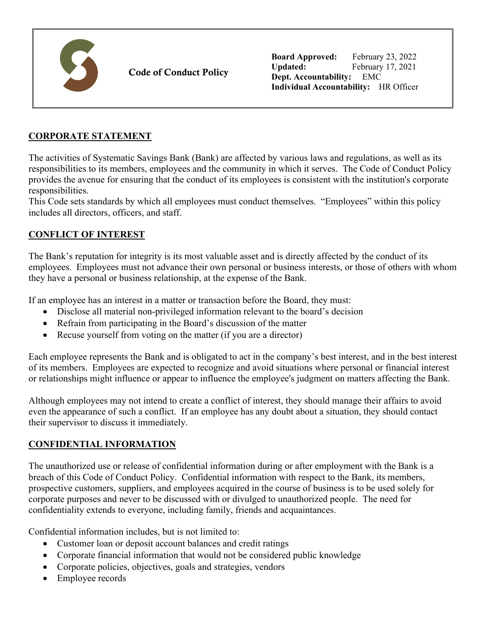

Code of Conduct Policy

**Board Approved:** February 23, 2022 **Updated:** February 17, 2021 **Dept. Accountability:** EMC **Individual Accountability:** HR Officer

### **CORPORATE STATEMENT**

The activities of Systematic Savings Bank (Bank) are affected by various laws and regulations, as well as its responsibilities to its members, employees and the community in which it serves. The Code of Conduct Policy provides the avenue for ensuring that the conduct of its employees is consistent with the institution's corporate responsibilities.

This Code sets standards by which all employees must conduct themselves. "Employees" within this policy includes all directors, officers, and staff.

#### **CONFLICT OF INTEREST**

The Bank's reputation for integrity is its most valuable asset and is directly affected by the conduct of its employees. Employees must not advance their own personal or business interests, or those of others with whom they have a personal or business relationship, at the expense of the Bank.

If an employee has an interest in a matter or transaction before the Board, they must:

- Disclose all material non-privileged information relevant to the board's decision
- Refrain from participating in the Board's discussion of the matter
- Recuse yourself from voting on the matter (if you are a director)

Each employee represents the Bank and is obligated to act in the company's best interest, and in the best interest of its members. Employees are expected to recognize and avoid situations where personal or financial interest or relationships might influence or appear to influence the employee's judgment on matters affecting the Bank.

Although employees may not intend to create a conflict of interest, they should manage their affairs to avoid even the appearance of such a conflict. If an employee has any doubt about a situation, they should contact their supervisor to discuss it immediately.

#### **CONFIDENTIAL INFORMATION**

The unauthorized use or release of confidential information during or after employment with the Bank is a breach of this Code of Conduct Policy. Confidential information with respect to the Bank, its members, prospective customers, suppliers, and employees acquired in the course of business is to be used solely for corporate purposes and never to be discussed with or divulged to unauthorized people. The need for confidentiality extends to everyone, including family, friends and acquaintances.

Confidential information includes, but is not limited to:

- Customer loan or deposit account balances and credit ratings
- Corporate financial information that would not be considered public knowledge
- Corporate policies, objectives, goals and strategies, vendors
- Employee records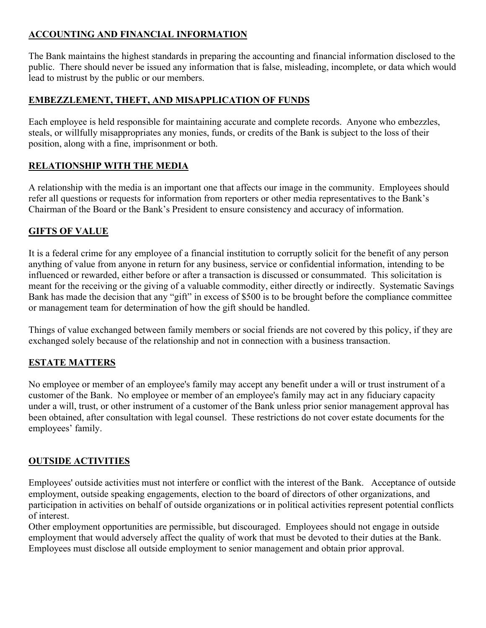### **ACCOUNTING AND FINANCIAL INFORMATION**

The Bank maintains the highest standards in preparing the accounting and financial information disclosed to the public. There should never be issued any information that is false, misleading, incomplete, or data which would lead to mistrust by the public or our members.

## **EMBEZZLEMENT, THEFT, AND MISAPPLICATION OF FUNDS**

Each employee is held responsible for maintaining accurate and complete records. Anyone who embezzles, steals, or willfully misappropriates any monies, funds, or credits of the Bank is subject to the loss of their position, along with a fine, imprisonment or both.

## **RELATIONSHIP WITH THE MEDIA**

A relationship with the media is an important one that affects our image in the community. Employees should refer all questions or requests for information from reporters or other media representatives to the Bank's Chairman of the Board or the Bank's President to ensure consistency and accuracy of information.

## **GIFTS OF VALUE**

It is a federal crime for any employee of a financial institution to corruptly solicit for the benefit of any person anything of value from anyone in return for any business, service or confidential information, intending to be influenced or rewarded, either before or after a transaction is discussed or consummated. This solicitation is meant for the receiving or the giving of a valuable commodity, either directly or indirectly. Systematic Savings Bank has made the decision that any "gift" in excess of \$500 is to be brought before the compliance committee or management team for determination of how the gift should be handled.

Things of value exchanged between family members or social friends are not covered by this policy, if they are exchanged solely because of the relationship and not in connection with a business transaction.

### **ESTATE MATTERS**

No employee or member of an employee's family may accept any benefit under a will or trust instrument of a customer of the Bank. No employee or member of an employee's family may act in any fiduciary capacity under a will, trust, or other instrument of a customer of the Bank unless prior senior management approval has been obtained, after consultation with legal counsel. These restrictions do not cover estate documents for the employees' family.

# **OUTSIDE ACTIVITIES**

Employees' outside activities must not interfere or conflict with the interest of the Bank. Acceptance of outside employment, outside speaking engagements, election to the board of directors of other organizations, and participation in activities on behalf of outside organizations or in political activities represent potential conflicts of interest.

Other employment opportunities are permissible, but discouraged. Employees should not engage in outside employment that would adversely affect the quality of work that must be devoted to their duties at the Bank. Employees must disclose all outside employment to senior management and obtain prior approval.